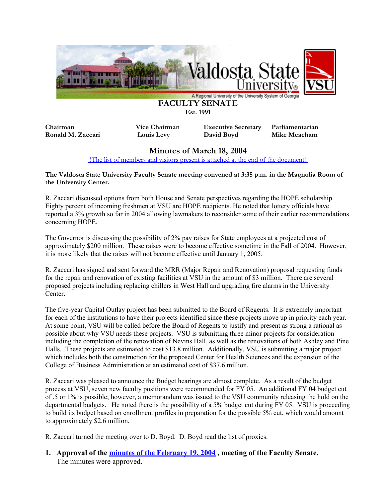

**Est. 1991** 

**Chairman Vice Chairman Executive Secretary Parliamentarian Ronald M. Zaccari Louis Levy David Boyd Mike Meacham** 

# **Minutes of March 18, 2004**

[{The list of members and visitors present is attached at the end of the document}](#page-12-0)

**The Valdosta State University Faculty Senate meeting convened at 3:35 p.m. in the Magnolia Room of the University Center.** 

R. Zaccari discussed options from both House and Senate perspectives regarding the HOPE scholarship. Eighty percent of incoming freshmen at VSU are HOPE recipients. He noted that lottery officials have reported a 3% growth so far in 2004 allowing lawmakers to reconsider some of their earlier recommendations concerning HOPE.

The Governor is discussing the possibility of 2% pay raises for State employees at a projected cost of approximately \$200 million. These raises were to become effective sometime in the Fall of 2004. However, it is more likely that the raises will not become effective until January 1, 2005.

R. Zaccari has signed and sent forward the MRR (Major Repair and Renovation) proposal requesting funds for the repair and renovation of existing facilities at VSU in the amount of \$3 million. There are several proposed projects including replacing chillers in West Hall and upgrading fire alarms in the University Center.

The five-year Capital Outlay project has been submitted to the Board of Regents. It is extremely important for each of the institutions to have their projects identified since these projects move up in priority each year. At some point, VSU will be called before the Board of Regents to justify and present as strong a rational as possible about why VSU needs these projects. VSU is submitting three minor projects for consideration including the completion of the renovation of Nevins Hall, as well as the renovations of both Ashley and Pine Halls. These projects are estimated to cost \$13.8 million. Additionally, VSU is submitting a major project which includes both the construction for the proposed Center for Health Sciences and the expansion of the College of Business Administration at an estimated cost of \$37.6 million.

R. Zaccari was pleased to announce the Budget hearings are almost complete. As a result of the budget process at VSU, seven new faculty positions were recommended for FY 05. An additional FY 04 budget cut of .5 or 1% is possible; however, a memorandum was issued to the VSU community releasing the hold on the departmental budgets. He noted there is the possibility of a 5% budget cut during FY 05. VSU is proceeding to build its budget based on enrollment profiles in preparation for the possible 5% cut, which would amount to approximately \$2.6 million.

R. Zaccari turned the meeting over to D. Boyd. D. Boyd read the list of proxies.

# **1. Approval of the [minutes of the February 19, 2004](http://www.valdosta.edu/vsu/facsen/Minutes/040219min.pdf) , meeting of the Faculty Senate.**  The minutes were approved.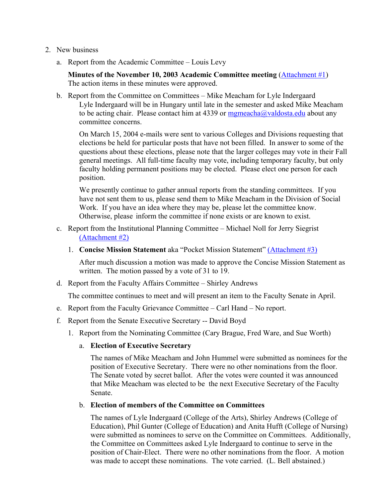- 2. New business
	- a. Report from the Academic Committee Louis Levy

**Minutes of the November 10, 2003 Academic Committee meeting** [\(Attachment #1](#page-3-0)) The action items in these minutes were approved.

b. Report from the Committee on Committees – Mike Meacham for Lyle Indergaard Lyle Indergaard will be in Hungary until late in the semester and asked Mike Meacham to be acting chair. Please contact him at 4339 or  $mgnecha@valdosta.edu$  about any committee concerns.

 On March 15, 2004 e-mails were sent to various Colleges and Divisions requesting that elections be held for particular posts that have not been filled. In answer to some of the questions about these elections, please note that the larger colleges may vote in their Fall general meetings. All full-time faculty may vote, including temporary faculty, but only faculty holding permanent positions may be elected. Please elect one person for each position.

 We presently continue to gather annual reports from the standing committees. If you have not sent them to us, please send them to Mike Meacham in the Division of Social Work. If you have an idea where they may be, please let the committee know. Otherwise, please inform the committee if none exists or are known to exist.

- c. Report from the Institutional Planning Committee Michael Noll for Jerry Siegrist [\(Attachment #2\)](#page-7-0)
	- 1. **Concise Mission Statement** aka "Pocket Mission Statement" [\(Attachment #3\)](#page-9-0)

After much discussion a motion was made to approve the Concise Mission Statement as written. The motion passed by a vote of 31 to 19.

d. Report from the Faculty Affairs Committee – Shirley Andrews

The committee continues to meet and will present an item to the Faculty Senate in April.

- e. Report from the Faculty Grievance Committee Carl Hand No report.
- f. Report from the Senate Executive Secretary -- David Boyd
	- 1. Report from the Nominating Committee (Cary Brague, Fred Ware, and Sue Worth)

## a. **Election of Executive Secretary**

The names of Mike Meacham and John Hummel were submitted as nominees for the position of Executive Secretary. There were no other nominations from the floor. The Senate voted by secret ballot. After the votes were counted it was announced that Mike Meacham was elected to be the next Executive Secretary of the Faculty Senate.

## b. **Election of members of the Committee on Committees**

The names of Lyle Indergaard (College of the Arts), Shirley Andrews (College of Education), Phil Gunter (College of Education) and Anita Hufft (College of Nursing) were submitted as nominees to serve on the Committee on Committees. Additionally, the Committee on Committees asked Lyle Indergaard to continue to serve in the position of Chair-Elect. There were no other nominations from the floor. A motion was made to accept these nominations. The vote carried. (L. Bell abstained.)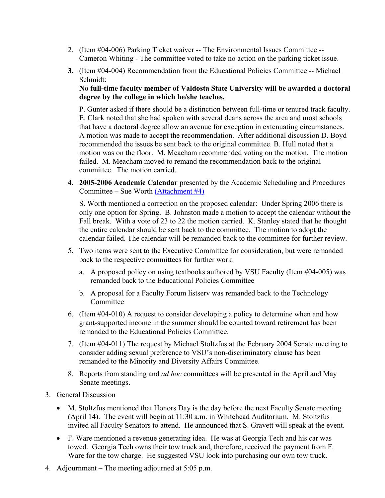- 2. (Item #04-006) Parking Ticket waiver -- The Environmental Issues Committee -- Cameron Whiting - The committee voted to take no action on the parking ticket issue.
- **3.** (Item #04-004) Recommendation from the Educational Policies Committee -- Michael Schmidt:

**No full-time faculty member of Valdosta State University will be awarded a doctoral degree by the college in which he/she teaches.** 

P. Gunter asked if there should be a distinction between full-time or tenured track faculty. E. Clark noted that she had spoken with several deans across the area and most schools that have a doctoral degree allow an avenue for exception in extenuating circumstances. A motion was made to accept the recommendation. After additional discussion D. Boyd recommended the issues be sent back to the original committee. B. Hull noted that a motion was on the floor. M. Meacham recommended voting on the motion. The motion failed. M. Meacham moved to remand the recommendation back to the original committee. The motion carried.

4. **2005-2006 Academic Calendar** presented by the Academic Scheduling and Procedures Committee – Sue Worth [\(Attachment #4\)](#page-10-0)

S. Worth mentioned a correction on the proposed calendar: Under Spring 2006 there is only one option for Spring. B. Johnston made a motion to accept the calendar without the Fall break. With a vote of 23 to 22 the motion carried. K. Stanley stated that he thought the entire calendar should be sent back to the committee. The motion to adopt the calendar failed. The calendar will be remanded back to the committee for further review.

- 5. Two items were sent to the Executive Committee for consideration, but were remanded back to the respective committees for further work:
	- a. A proposed policy on using textbooks authored by VSU Faculty (Item #04-005) was remanded back to the Educational Policies Committee
	- b. A proposal for a Faculty Forum listserv was remanded back to the Technology Committee
- 6. (Item #04-010) A request to consider developing a policy to determine when and how grant-supported income in the summer should be counted toward retirement has been remanded to the Educational Policies Committee.
- 7. (Item #04-011) The request by Michael Stoltzfus at the February 2004 Senate meeting to consider adding sexual preference to VSU's non-discriminatory clause has been remanded to the Minority and Diversity Affairs Committee.
- 8. Reports from standing and *ad hoc* committees will be presented in the April and May Senate meetings.
- 3. General Discussion
	- M. Stoltzfus mentioned that Honors Day is the day before the next Faculty Senate meeting (April 14). The event will begin at 11:30 a.m. in Whitehead Auditorium. M. Stoltzfus invited all Faculty Senators to attend. He announced that S. Gravett will speak at the event.
	- F. Ware mentioned a revenue generating idea. He was at Georgia Tech and his car was towed. Georgia Tech owns their tow truck and, therefore, received the payment from F. Ware for the tow charge. He suggested VSU look into purchasing our own tow truck.
- 4. Adjournment The meeting adjourned at 5:05 p.m.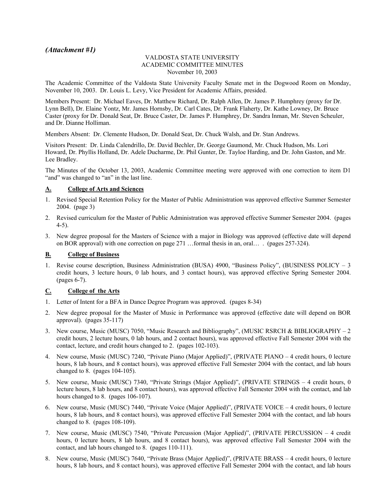## <span id="page-3-0"></span>*(Attachment #1)*

#### VALDOSTA STATE UNIVERSITY ACADEMIC COMMITTEE MINUTES November 10, 2003

The Academic Committee of the Valdosta State University Faculty Senate met in the Dogwood Room on Monday, November 10, 2003. Dr. Louis L. Levy, Vice President for Academic Affairs, presided.

Members Present: Dr. Michael Eaves, Dr. Matthew Richard, Dr. Ralph Allen, Dr. James P. Humphrey (proxy for Dr. Lynn Bell), Dr. Elaine Yontz, Mr. James Hornsby, Dr. Carl Cates, Dr. Frank Flaherty, Dr. Kathe Lowney, Dr. Bruce Caster (proxy for Dr. Donald Seat, Dr. Bruce Caster, Dr. James P. Humphrey, Dr. Sandra Inman, Mr. Steven Scheuler, and Dr. Dianne Holliman.

Members Absent: Dr. Clemente Hudson, Dr. Donald Seat, Dr. Chuck Walsh, and Dr. Stan Andrews.

Visitors Present: Dr. Linda Calendrillo, Dr. David Bechler, Dr. George Gaumond, Mr. Chuck Hudson, Ms. Lori Howard, Dr. Phyllis Holland, Dr. Adele Ducharme, Dr. Phil Gunter, Dr. Tayloe Harding, and Dr. John Gaston, and Mr. Lee Bradley.

The Minutes of the October 13, 2003, Academic Committee meeting were approved with one correction to item D1 "and" was changed to "an" in the last line.

#### **A. College of Arts and Sciences**

- 1. Revised Special Retention Policy for the Master of Public Administration was approved effective Summer Semester 2004. (page 3)
- 2. Revised curriculum for the Master of Public Administration was approved effective Summer Semester 2004. (pages 4-5).
- 3. New degree proposal for the Masters of Science with a major in Biology was approved (effective date will depend on BOR approval) with one correction on page 271 …formal thesis in an, oral… . (pages 257-324).

#### **B. College of Business**

1. Revise course description, Business Administration (BUSA) 4900, "Business Policy", (BUSINESS POLICY – 3 credit hours, 3 lecture hours, 0 lab hours, and 3 contact hours), was approved effective Spring Semester 2004. (pages 6-7).

#### **C. College of the Arts**

- 1. Letter of Intent for a BFA in Dance Degree Program was approved. (pages 8-34)
- 2. New degree proposal for the Master of Music in Performance was approved (effective date will depend on BOR approval). (pages 35-117)
- 3. New course, Music (MUSC) 7050, "Music Research and Bibliography", (MUSIC RSRCH & BIBLIOGRAPHY 2 credit hours, 2 lecture hours, 0 lab hours, and 2 contact hours), was approved effective Fall Semester 2004 with the contact, lecture, and credit hours changed to 2. (pages 102-103).
- 4. New course, Music (MUSC) 7240, "Private Piano (Major Applied)", (PRIVATE PIANO 4 credit hours, 0 lecture hours, 8 lab hours, and 8 contact hours), was approved effective Fall Semester 2004 with the contact, and lab hours changed to 8. (pages 104-105).
- 5. New course, Music (MUSC) 7340, "Private Strings (Major Applied)", (PRIVATE STRINGS 4 credit hours, 0 lecture hours, 8 lab hours, and 8 contact hours), was approved effective Fall Semester 2004 with the contact, and lab hours changed to 8. (pages 106-107).
- 6. New course, Music (MUSC) 7440, "Private Voice (Major Applied)", (PRIVATE VOICE 4 credit hours, 0 lecture hours, 8 lab hours, and 8 contact hours), was approved effective Fall Semester 2004 with the contact, and lab hours changed to 8. (pages 108-109).
- 7. New course, Music (MUSC) 7540, "Private Percussion (Major Applied)", (PRIVATE PERCUSSION 4 credit hours, 0 lecture hours, 8 lab hours, and 8 contact hours), was approved effective Fall Semester 2004 with the contact, and lab hours changed to 8. (pages 110-111).
- 8. New course, Music (MUSC) 7640, "Private Brass (Major Applied)", (PRIVATE BRASS 4 credit hours, 0 lecture hours, 8 lab hours, and 8 contact hours), was approved effective Fall Semester 2004 with the contact, and lab hours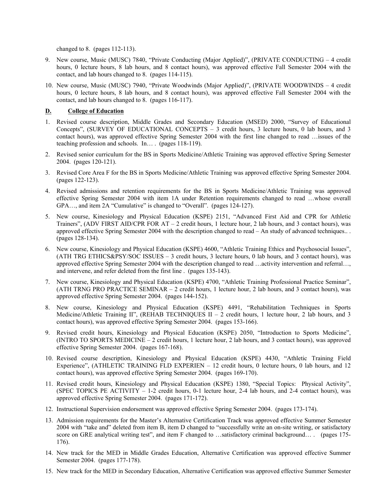changed to 8. (pages 112-113).

- 9. New course, Music (MUSC) 7840, "Private Conducting (Major Applied)", (PRIVATE CONDUCTING 4 credit hours, 0 lecture hours, 8 lab hours, and 8 contact hours), was approved effective Fall Semester 2004 with the contact, and lab hours changed to 8. (pages 114-115).
- 10. New course, Music (MUSC) 7940, "Private Woodwinds (Major Applied)", (PRIVATE WOODWINDS 4 credit hours, 0 lecture hours, 8 lab hours, and 8 contact hours), was approved effective Fall Semester 2004 with the contact, and lab hours changed to 8. (pages 116-117).

#### **D. College of Education**

- 1. Revised course description, Middle Grades and Secondary Education (MSED) 2000, "Survey of Educational Concepts", (SURVEY OF EDUCATIONAL CONCEPTS – 3 credit hours, 3 lecture hours, 0 lab hours, and 3 contact hours), was approved effective Spring Semester 2004 with the first line changed to read …issues of the teaching profession and schools. In… . (pages 118-119).
- 2. Revised senior curriculum for the BS in Sports Medicine/Athletic Training was approved effective Spring Semester 2004. (pages 120-121).
- 3. Revised Core Area F for the BS in Sports Medicine/Athletic Training was approved effective Spring Semester 2004. (pages 122-123).
- 4. Revised admissions and retention requirements for the BS in Sports Medicine/Athletic Training was approved effective Spring Semester 2004 with item 1A under Retention requirements changed to read …whose overall GPA..., and item 2A "Cumulative" is changed to "Overall". (pages 124-127).
- 5. New course, Kinesiology and Physical Education (KSPE) 2151, "Advanced First Aid and CPR for Athletic Trainers", (ADV FIRST AID/CPR FOR AT – 2 credit hours, 1 lecture hour, 2 lab hours, and 3 contact hours), was approved effective Spring Semester 2004 with the description changed to read – An study of advanced techniques.. . (pages 128-134).
- 6. New course, Kinesiology and Physical Education (KSPE) 4600, "Athletic Training Ethics and Psychosocial Issues", (ATH TRG ETHICS&PSY/SOC ISSUES – 3 credit hours, 3 lecture hours, 0 lab hours, and 3 contact hours), was approved effective Spring Semester 2004 with the description changed to read …activity intervention and referral…, and intervene, and refer deleted from the first line . (pages 135-143).
- 7. New course, Kinesiology and Physical Education (KSPE) 4700, "Athletic Training Professional Practice Seminar", (ATH TRNG PRO PRACTICE SEMINAR – 2 credit hours, 1 lecture hour, 2 lab hours, and 3 contact hours), was approved effective Spring Semester 2004. (pages 144-152).
- 8. New course, Kinesiology and Physical Education (KSPE) 4491, "Rehabilitation Techniques in Sports Medicine/Athletic Training II", (REHAB TECHNIQUES II - 2 credit hours, 1 lecture hour, 2 lab hours, and 3 contact hours), was approved effective Spring Semester 2004. (pages 153-166).
- 9. Revised credit hours, Kinesiology and Physical Education (KSPE) 2050, "Introduction to Sports Medicine", (INTRO TO SPORTS MEDICINE – 2 credit hours, 1 lecture hour, 2 lab hours, and 3 contact hours), was approved effective Spring Semester 2004. (pages 167-168).
- 10. Revised course description, Kinesiology and Physical Education (KSPE) 4430, "Athletic Training Field Experience", (ATHLETIC TRAINING FLD EXPERIEN – 12 credit hours, 0 lecture hours, 0 lab hours, and 12 contact hours), was approved effective Spring Semester 2004. (pages 169-170).
- 11. Revised credit hours, Kinesiology and Physical Education (KSPE) 1380, "Special Topics: Physical Activity", (SPEC TOPICS PE ACTIVITY – 1-2 credit hours, 0-1 lecture hour, 2-4 lab hours, and 2-4 contact hours), was approved effective Spring Semester 2004. (pages 171-172).
- 12. Instructional Supervision endorsement was approved effective Spring Semester 2004. (pages 173-174).
- 13. Admission requirements for the Master's Alternative Certification Track was approved effective Summer Semester 2004 with "take and" deleted from item B, item D changed to "successfully write an on-site writing, or satisfactory score on GRE analytical writing test", and item F changed to …satisfactory criminal background… . (pages 175-176).
- 14. New track for the MED in Middle Grades Education, Alternative Certification was approved effective Summer Semester 2004. (pages 177-178).
- 15. New track for the MED in Secondary Education, Alternative Certification was approved effective Summer Semester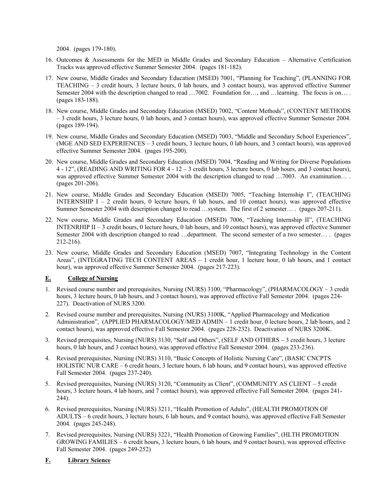2004. (pages 179-180).

- 16. Outcomes & Assessments for the MED in Middle Grades and Secondary Education Alternative Certification Tracks was approved effective Summer Semester 2004. (pages 181-182).
- 17. New course, Middle Grades and Secondary Education (MSED) 7001, "Planning for Teaching", (PLANNING FOR TEACHING – 3 credit hours, 3 lecture hours, 0 lab hours, and 3 contact hours), was approved effective Summer Semester 2004 with the description changed to read …7002. Foundation for…, and …learning. The focus is on…. (pages 183-188).
- 18. New course, Middle Grades and Secondary Education (MSED) 7002, "Content Methods", (CONTENT METHODS – 3 credit hours, 3 lecture hours, 0 lab hours, and 3 contact hours), was approved effective Summer Semester 2004. (pages 189-194).
- 19. New course, Middle Grades and Secondary Education (MSED) 7003, "Middle and Secondary School Experiences", (MGE AND SED EXPERIENCES – 3 credit hours, 3 lecture hours, 0 lab hours, and 3 contact hours), was approved effective Summer Semester 2004. (pages 195-200).
- 20. New course, Middle Grades and Secondary Education (MSED) 7004, "Reading and Writing for Diverse Populations 4 - 12", (READING AND WRITING FOR 4 - 12 – 3 credit hours, 3 lecture hours, 0 lab hours, and 3 contact hours), was approved effective Summer Semester 2004 with the description changed to read ...7003. An examination... . (pages 201-206).
- 21. New course, Middle Grades and Secondary Education (MSED) 7005, "Teaching Internship I", (TEACHING INTERNSHIP I – 2 credit hours, 0 lecture hours, 0 lab hours, and 10 contact hours), was approved effective Summer Semester 2004 with description changed to read …system. The first of 2 semester… . (pages 207-211).
- 22. New course, Middle Grades and Secondary Education (MSED) 7006, "Teaching Internship II", (TEACHING INTENRHIP II – 3 credit hours, 0 lecture hours, 0 lab hours, and 10 contact hours), was approved effective Summer Semester 2004 with description changed to read …department. The second semester of a two semester… . (pages 212-216).
- 23. New course, Middle Grades and Secondary Education (MSED) 7007, "Integrating Technology in the Content Areas", (INTEGRATING TECH CONTENT AREAS – 1 credit hour, 1 lecture hour, 0 lab hours, and 1 contact hour), was approved effective Summer Semester 2004. (pages 217-223).

### **E. College of Nursing**

- 1. Revised course number and prerequisites, Nursing (NURS) 3100, "Pharmacology", (PHARMACOLOGY 3 credit hours, 3 lecture hours, 0 lab hours, and 3 contact hours), was approved effective Fall Semester 2004. (pages 224-227). Deactivation of NURS 3200.
- 2. Revised course number and prerequisites, Nursing (NURS) 3100K, "Applied Pharmacology and Medication Administration", (APPLIED PHARMACOLOGY/MED ADMIN - 1 credit hour, 0 lecture hours, 2 lab hours, and 2 contact hours), was approved effective Fall Semester 2004. (pages 228-232). Deactivation of NURS 3200K.
- 3. Revised prerequisites, Nursing (NURS) 3130, "Self and Others", (SELF AND OTHERS 3 credit hours, 3 lecture hours, 0 lab hours, and 3 contact hours), was approved effective Fall Semester 2004. (pages 233-236).
- 4. Revised prerequisites, Nursing (NURS) 3110, "Basic Concepts of Holistic Nursing Care", (BASIC CNCPTS HOLISTIC NUR CARE – 6 credit hours, 3 lecture hours, 6 lab hours, and 9 contact hours), was approved effective Fall Semester 2004. (pages 237-240).
- 5. Revised prerequisites, Nursing (NURS) 3120, "Community as Client", (COMMUNITY AS CLIENT 5 credit hours, 3 lecture hours, 4 lab hours, and 7 contact hours), was approved effective Fall Semester 2004. (pages 241-244).
- 6. Revised prerequisites, Nursing (NURS) 3211, "Health Promotion of Adults", (HEALTH PROMOTION OF ADULTS – 6 credit hours, 3 lecture hours, 6 lab hours, and 9 contact hours), was approved effective Fall Semester 2004. (pages 245-248).
- 7. Revised prerequisites, Nursing (NURS) 3221, "Health Promotion of Growing Families", (HLTH PROMOTION GROWING FAMILIES – 6 credit hours, 3 lecture hours, 6 lab hours, and 9 contact hours), was approved effective Fall Semester 2004. (pages 249-252)

### **F. Library Science**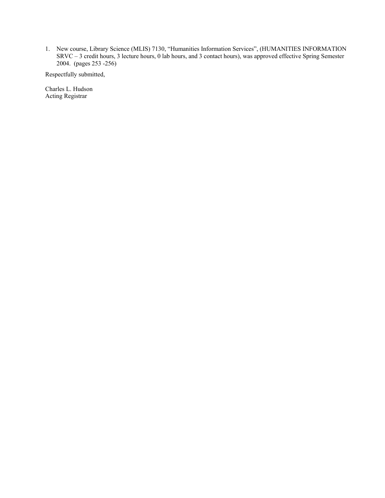1. New course, Library Science (MLIS) 7130, "Humanities Information Services", (HUMANITIES INFORMATION SRVC – 3 credit hours, 3 lecture hours, 0 lab hours, and 3 contact hours), was approved effective Spring Semester 2004. (pages 253 -256)

Respectfully submitted,

Charles L. Hudson Acting Registrar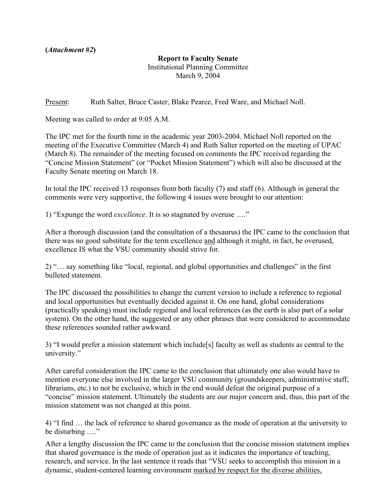<span id="page-7-0"></span>**(***Attachment #2***)** 

## **Report to Faculty Senate**

Institutional Planning Committee March 9, 2004

Present: Ruth Salter, Bruce Caster, Blake Pearce, Fred Ware, and Michael Noll.

Meeting was called to order at 9:05 A.M.

The IPC met for the fourth time in the academic year 2003-2004. Michael Noll reported on the meeting of the Executive Committee (March 4) and Ruth Salter reported on the meeting of UPAC (March 8). The remainder of the meeting focused on comments the IPC received regarding the "Concise Mission Statement" (or "Pocket Mission Statement") which will also be discussed at the Faculty Senate meeting on March 18.

In total the IPC received 13 responses from both faculty (7) and staff (6). Although in general the comments were very supportive, the following 4 issues were brought to our attention:

1) "Expunge the word *excellence*. It is so stagnated by overuse …."

After a thorough discussion (and the consultation of a thesaurus) the IPC came to the conclusion that there was no good substitute for the term excellence and although it might, in fact, be overused, excellence IS what the VSU community should strive for.

2) "… say something like "local, regional, and global opportunities and challenges" in the first bulleted statement.

The IPC discussed the possibilities to change the current version to include a reference to regional and local opportunities but eventually decided against it. On one hand, global considerations (practically speaking) must include regional and local references (as the earth is also part of a solar system). On the other hand, the suggested or any other phrases that were considered to accommodate these references sounded rather awkward.

3) "I would prefer a mission statement which include[s] faculty as well as students as central to the university."

After careful consideration the IPC came to the conclusion that ultimately one also would have to mention everyone else involved in the larger VSU community (groundskeepers, administrative staff, librarians, etc.) to not be exclusive, which in the end would defeat the original purpose of a "concise" mission statement. Ultimately the students are our major concern and, thus, this part of the mission statement was not changed at this point.

4) "I find … the lack of reference to shared governance as the mode of operation at the university to be disturbing ...."

After a lengthy discussion the IPC came to the conclusion that the concise mission statement implies that shared governance is the mode of operation just as it indicates the importance of teaching, research, and service. In the last sentence it reads that "VSU seeks to accomplish this mission in a dynamic, student-centered learning environment marked by respect for the diverse abilities,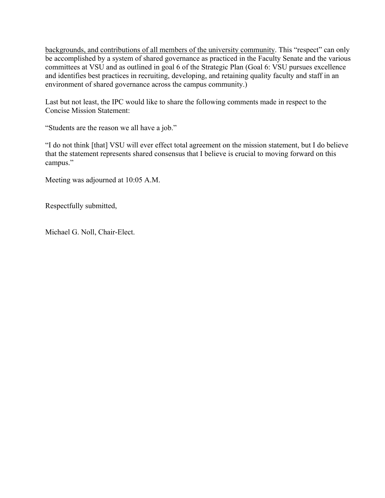backgrounds, and contributions of all members of the university community. This "respect" can only be accomplished by a system of shared governance as practiced in the Faculty Senate and the various committees at VSU and as outlined in goal 6 of the Strategic Plan (Goal 6: VSU pursues excellence and identifies best practices in recruiting, developing, and retaining quality faculty and staff in an environment of shared governance across the campus community.)

Last but not least, the IPC would like to share the following comments made in respect to the Concise Mission Statement:

"Students are the reason we all have a job."

"I do not think [that] VSU will ever effect total agreement on the mission statement, but I do believe that the statement represents shared consensus that I believe is crucial to moving forward on this campus."

Meeting was adjourned at 10:05 A.M.

Respectfully submitted,

Michael G. Noll, Chair-Elect.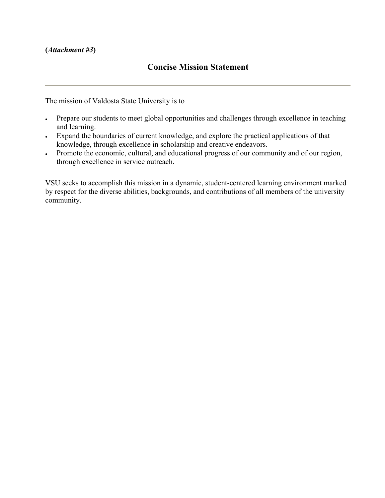## <span id="page-9-0"></span>**(***Attachment #3***)**

# **Concise Mission Statement**

The mission of Valdosta State University is to

- Prepare our students to meet global opportunities and challenges through excellence in teaching and learning.
- Expand the boundaries of current knowledge, and explore the practical applications of that knowledge, through excellence in scholarship and creative endeavors.
- Promote the economic, cultural, and educational progress of our community and of our region, through excellence in service outreach.

VSU seeks to accomplish this mission in a dynamic, student-centered learning environment marked by respect for the diverse abilities, backgrounds, and contributions of all members of the university community.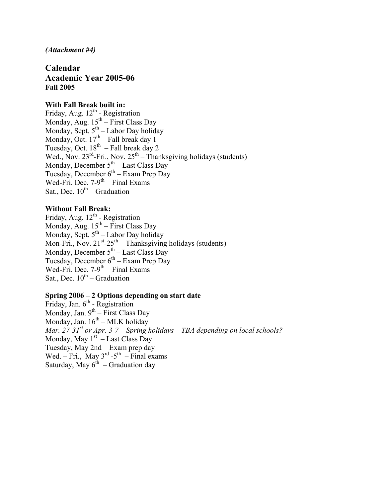## <span id="page-10-0"></span>*(Attachment #4)*

**Calendar Academic Year 2005-06 Fall 2005** 

# **With Fall Break built in:**

Friday, Aug.  $12^{th}$  - Registration Monday, Aug.  $15^{th}$  – First Class Day Monday, Sept.  $5<sup>th</sup>$  – Labor Day holiday Monday, Oct.  $17<sup>th</sup>$  – Fall break day 1 Tuesday, Oct.  $18^{th}$  – Fall break day 2 Wed., Nov.  $23^{rd}$ -Fri., Nov.  $25^{th}$  – Thanksgiving holidays (students) Monday, December  $5<sup>th</sup>$  – Last Class Day Tuesday, December  $6^{th}$  – Exam Prep Day Wed-Fri. Dec.  $7-9^{th}$  – Final Exams Sat., Dec.  $10^{th}$  – Graduation

# **Without Fall Break:**

Friday, Aug. 12<sup>th</sup> - Registration Monday, Aug.  $15^{th}$  – First Class Day Monday, Sept.  $5<sup>th</sup>$  – Labor Day holiday Mon-Fri., Nov.  $21^{st}$ -25<sup>th</sup> – Thanksgiving holidays (students) Monday, December  $5<sup>th</sup>$  – Last Class Day Tuesday, December  $6<sup>th</sup>$  – Exam Prep Day Wed-Fri. Dec.  $7-9^{th}$  – Final Exams Sat., Dec.  $10^{th}$  – Graduation

## **Spring 2006 – 2 Options depending on start date**

Friday, Jan.  $6<sup>th</sup>$  - Registration Monday, Jan.  $9^{th}$  – First Class Day Monday, Jan.  $16^{th}$  – MLK holiday *Mar. 27-31st or Apr. 3-7 – Spring holidays – TBA depending on local schools?*  Monday, May  $1<sup>st</sup>$  – Last Class Day Tuesday, May 2nd – Exam prep day Wed. – Fri., May  $3^{rd}$  -5<sup>th</sup> – Final exams Saturday, May  $6^{th}$  – Graduation day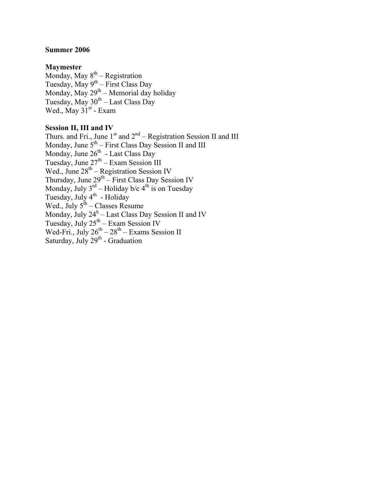## **Summer 2006**

## **Maymester**

Monday, May  $8^{\text{th}}$  – Registration Tuesday, May  $9^{th}$  – First Class Day Monday, May  $29<sup>th</sup>$  – Memorial day holiday Tuesday, May  $30<sup>th</sup> -$  Last Class Day Wed., May  $31<sup>st</sup>$  - Exam

## **Session II, III and IV**

Thurs. and Fri., June  $1<sup>st</sup>$  and  $2<sup>nd</sup>$  – Registration Session II and III Monday, June  $5<sup>th</sup>$  – First Class Day Session II and III Monday, June  $26<sup>th</sup>$  - Last Class Day Tuesday, June  $27<sup>th</sup>$  – Exam Session III Wed., June  $28<sup>th</sup>$  – Registration Session IV Thursday, June  $29^{th}$  – First Class Day Session IV Monday, July  $3^{rd}$  – Holiday b/c  $4^{th}$  is on Tuesday Tuesday, July 4<sup>th</sup> - Holiday Wed., July  $5^{th}$  – Classes Resume Monday, July  $24^h$  – Last Class Day Session II and IV Tuesday, July  $25<sup>th</sup>$  – Exam Session IV Wed-Fri., July  $26^{th} - 28^{th}$  – Exams Session II Saturday, July  $29<sup>th</sup>$  - Graduation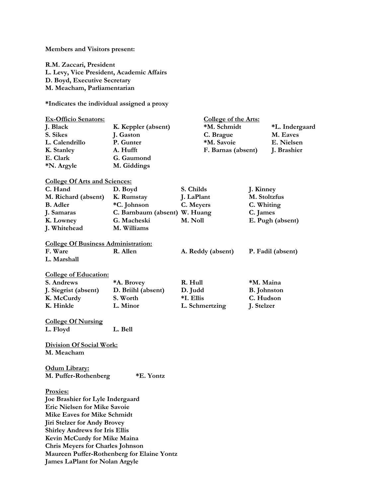<span id="page-12-0"></span>**Members and Visitors present:** 

**R.M. Zaccari, President L. Levy, Vice President, Academic Affairs D. Boyd, Executive Secretary M. Meacham, Parliamentarian** 

**\*Indicates the individual assigned a proxy** 

| <b>Ex-Officio Senators:</b><br>J. Black<br>S. Sikes<br>L. Calendrillo<br>K. Stanley<br>E. Clark<br>*N. Argyle | K. Keppler (absent)<br>J. Gaston<br>P. Gunter<br>A. Hufft<br>G. Gaumond<br>M. Giddings | <b>College of the Arts:</b><br>*M. Schmidt<br>C. Brague<br>*M. Savoie<br>F. Barnas (absent) |                    | *L. Indergaard<br>M. Eaves<br>E. Nielsen<br>J. Brashier |  |
|---------------------------------------------------------------------------------------------------------------|----------------------------------------------------------------------------------------|---------------------------------------------------------------------------------------------|--------------------|---------------------------------------------------------|--|
| <b>College Of Arts and Sciences:</b>                                                                          |                                                                                        |                                                                                             |                    |                                                         |  |
| C. Hand                                                                                                       | D. Boyd                                                                                | S. Childs                                                                                   | J. Kinney          |                                                         |  |
| M. Richard (absent)                                                                                           | K. Rumstay                                                                             | J. LaPlant                                                                                  | M. Stoltzfus       |                                                         |  |
| <b>B.</b> Adler                                                                                               | *C. Johnson                                                                            | C. Meyers                                                                                   |                    | C. Whiting                                              |  |
| J. Samaras                                                                                                    | C. Barnbaum (absent) W. Huang                                                          |                                                                                             | C. James           |                                                         |  |
| K. Lowney                                                                                                     | G. Macheski                                                                            | M. Noll                                                                                     | E. Pugh (absent)   |                                                         |  |
| J. Whitehead                                                                                                  | M. Williams                                                                            |                                                                                             |                    |                                                         |  |
|                                                                                                               |                                                                                        |                                                                                             |                    |                                                         |  |
| <b>College Of Business Administration:</b>                                                                    |                                                                                        |                                                                                             |                    |                                                         |  |
| F. Ware                                                                                                       | R. Allen                                                                               | A. Reddy (absent)                                                                           | P. Fadil (absent)  |                                                         |  |
| L. Marshall                                                                                                   |                                                                                        |                                                                                             |                    |                                                         |  |
|                                                                                                               |                                                                                        |                                                                                             |                    |                                                         |  |
| <b>College of Education:</b>                                                                                  |                                                                                        |                                                                                             |                    |                                                         |  |
| S. Andrews                                                                                                    | *A. Brovey                                                                             | R. Hull                                                                                     | *M. Maina          |                                                         |  |
| J. Siegrist (absent)                                                                                          | D. Briihl (absent)                                                                     | D. Judd                                                                                     | <b>B.</b> Johnston |                                                         |  |
|                                                                                                               | S. Worth                                                                               | *I. Ellis                                                                                   | C. Hudson          |                                                         |  |
| K. McCurdy                                                                                                    |                                                                                        |                                                                                             |                    |                                                         |  |
| K. Hinkle                                                                                                     | L. Minor                                                                               | L. Schmertzing                                                                              | J. Stelzer         |                                                         |  |
|                                                                                                               |                                                                                        |                                                                                             |                    |                                                         |  |
| <b>College Of Nursing</b>                                                                                     |                                                                                        |                                                                                             |                    |                                                         |  |
| L. Floyd                                                                                                      | L. Bell                                                                                |                                                                                             |                    |                                                         |  |
| <b>Division Of Social Work:</b><br>M. Meacham                                                                 |                                                                                        |                                                                                             |                    |                                                         |  |
| Odum Library:<br>M. Puffer-Rothenberg<br>*E. Yontz                                                            |                                                                                        |                                                                                             |                    |                                                         |  |
| Proxies:                                                                                                      |                                                                                        |                                                                                             |                    |                                                         |  |
| Joe Brashier for Lyle Indergaard                                                                              |                                                                                        |                                                                                             |                    |                                                         |  |
| <b>Eric Nielsen for Mike Savoie</b>                                                                           |                                                                                        |                                                                                             |                    |                                                         |  |
| Mike Eaves for Mike Schmidt                                                                                   |                                                                                        |                                                                                             |                    |                                                         |  |
|                                                                                                               |                                                                                        |                                                                                             |                    |                                                         |  |
| <b>Jiri Stelzer for Andy Brovey</b>                                                                           |                                                                                        |                                                                                             |                    |                                                         |  |
| <b>Shirley Andrews for Iris Ellis</b>                                                                         |                                                                                        |                                                                                             |                    |                                                         |  |
| Kevin McCurdy for Mike Maina                                                                                  |                                                                                        |                                                                                             |                    |                                                         |  |
| <b>Chris Meyers for Charles Johnson</b>                                                                       |                                                                                        |                                                                                             |                    |                                                         |  |
| Maureen Puffer-Rothenberg for Elaine Yontz                                                                    |                                                                                        |                                                                                             |                    |                                                         |  |
| <b>James LaPlant for Nolan Argyle</b>                                                                         |                                                                                        |                                                                                             |                    |                                                         |  |